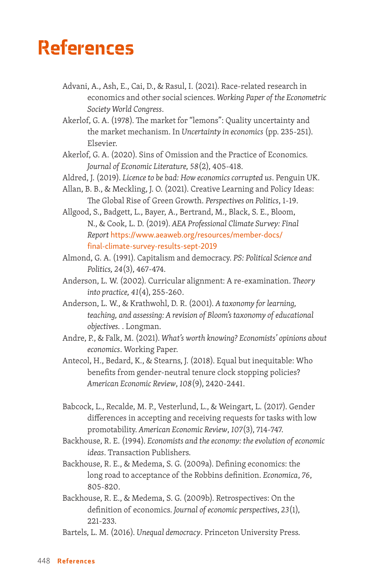## References

- Advani, A., Ash, E., Cai, D., & Rasul, I. (2021). Race-related research in economics and other social sciences. *Working Paper of the Econometric Society World Congress*.
- Akerlof, G. A. (1978). The market for "lemons": Quality uncertainty and the market mechanism. In *Uncertainty in economics* (pp. 235-251). Elsevier.
- Akerlof, G. A. (2020). Sins of Omission and the Practice of Economics. *Journal of Economic Literature, 58*(2), 405-418.
- Aldred, J. (2019). *Licence to be bad: How economics corrupted us*. Penguin UK.
- Allan, B. B., & Meckling, J. O. (2021). Creative Learning and Policy Ideas: The Global Rise of Green Growth. *Perspectives on Politics*, 1-19.
- Allgood, S., Badgett, L., Bayer, A., Bertrand, M., Black, S. E., Bloom, N., & Cook, L. D. (2019). *AEA Professional Climate Survey: Final Report* [https://www.aeaweb.org/resources/member-docs/](https://www.aeaweb.org/resources/member-docs/final-climate-survey-results-sept-2019) [final-climate-survey-results-sept-2019](https://www.aeaweb.org/resources/member-docs/final-climate-survey-results-sept-2019)
- Almond, G. A. (1991). Capitalism and democracy. *PS: Political Science and Politics, 24*(3), 467-474.
- Anderson, L. W. (2002). Curricular alignment: A re-examination. *Theory into practice, 41*(4), 255-260.
- Anderson, L. W., & Krathwohl, D. R. (2001). *A taxonomy for learning, teaching, and assessing: A revision of Bloom's taxonomy of educational objectives.* . Longman.
- Andre, P., & Falk, M. (2021). *What's worth knowing? Economists' opinions about economics*. Working Paper.
- Antecol, H., Bedard, K., & Stearns, J. (2018). Equal but inequitable: Who benefits from gender-neutral tenure clock stopping policies? *American Economic Review*, *108*(9), 2420-2441.
- Babcock, L., Recalde, M. P., Vesterlund, L., & Weingart, L. (2017). Gender differences in accepting and receiving requests for tasks with low promotability. *American Economic Review*, *107*(3), 714-747.
- Backhouse, R. E. (1994). *Economists and the economy: the evolution of economic ideas*. Transaction Publishers.
- Backhouse, R. E., & Medema, S. G. (2009a). Defining economics: the long road to acceptance of the Robbins definition. *Economica*, *76*, 805-820.
- Backhouse, R. E., & Medema, S. G. (2009b). Retrospectives: On the definition of economics. *Journal of economic perspectives*, *23*(1), 221-233.
- Bartels, L. M. (2016). *Unequal democracy*. Princeton University Press.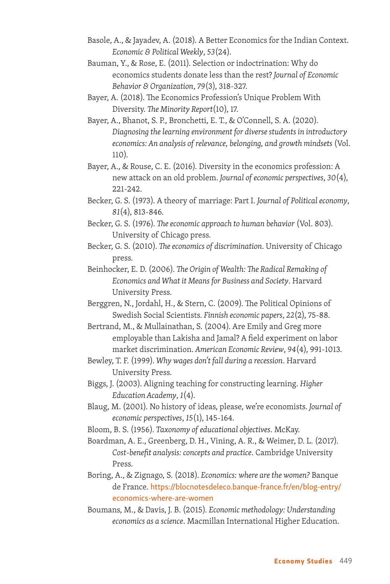- Basole, A., & Jayadev, A. (2018). A Better Economics for the Indian Context. *Economic & Political Weekly*, *53*(24).
- Bauman, Y., & Rose, E. (2011). Selection or indoctrination: Why do economics students donate less than the rest? *Journal of Economic Behavior & Organization*, *79*(3), 318-327.
- Bayer, A. (2018). The Economics Profession's Unique Problem With Diversity. *The Minority Report*(10), 17.
- Bayer, A., Bhanot, S. P., Bronchetti, E. T., & O'Connell, S. A. (2020). *Diagnosing the learning environment for diverse students in introductory economics: An analysis of relevance, belonging, and growth mindsets* (Vol. 110).
- Bayer, A., & Rouse, C. E. (2016). Diversity in the economics profession: A new attack on an old problem. *Journal of economic perspectives*, *30*(4), 221-242.
- Becker, G. S. (1973). A theory of marriage: Part I. *Journal of Political economy*, *81*(4), 813-846.
- Becker, G. S. (1976). *The economic approach to human behavior* (Vol. 803). University of Chicago press.
- Becker, G. S. (2010). *The economics of discrimination*. University of Chicago press.
- Beinhocker, E. D. (2006). *The Origin of Wealth: The Radical Remaking of Economics and What it Means for Business and Society*. Harvard University Press.
- Berggren, N., Jordahl, H., & Stern, C. (2009). The Political Opinions of Swedish Social Scientists. *Finnish economic papers*, *22*(2), 75-88.
- Bertrand, M., & Mullainathan, S. (2004). Are Emily and Greg more employable than Lakisha and Jamal? A field experiment on labor market discrimination. *American Economic Review*, *94*(4), 991-1013.
- Bewley, T. F. (1999). *Why wages don't fall during a recession*. Harvard University Press.
- Biggs, J. (2003). Aligning teaching for constructing learning. *Higher Education Academy*, *1*(4).
- Blaug, M. (2001). No history of ideas, please, we're economists. *Journal of economic perspectives*, *15*(1), 145-164.
- Bloom, B. S. (1956). *Taxonomy of educational objectives*. McKay.
- Boardman, A. E., Greenberg, D. H., Vining, A. R., & Weimer, D. L. (2017). *Cost-benefit analysis: concepts and practice*. Cambridge University Press.
- Boring, A., & Zignago, S. (2018). *Economics: where are the women?* Banque de France. [https://blocnotesdeleco.banque-france.fr/en/blog-entry/](https://blocnotesdeleco.banque-france.fr/en/blog-entry/economics-where-are-women) [economics-where-are-women](https://blocnotesdeleco.banque-france.fr/en/blog-entry/economics-where-are-women)
- Boumans, M., & Davis, J. B. (2015). *Economic methodology: Understanding economics as a science*. Macmillan International Higher Education.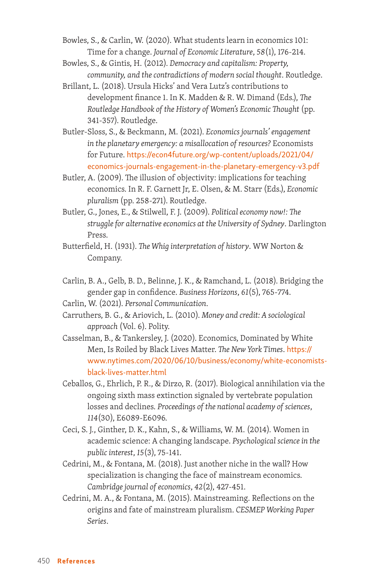Bowles, S., & Carlin, W. (2020). What students learn in economics 101: Time for a change. *Journal of Economic Literature*, *58*(1), 176-214.

- Bowles, S., & Gintis, H. (2012). *Democracy and capitalism: Property, community, and the contradictions of modern social thought*. Routledge.
- Brillant, L. (2018). Ursula Hicks' and Vera Lutz's contributions to development finance 1. In K. Madden & R. W. Dimand (Eds.), *The Routledge Handbook of the History of Women's Economic Thought* (pp. 341-357). Routledge.
- Butler-Sloss, S., & Beckmann, M. (2021). *Economics journals' engagement in the planetary emergency: a misallocation of resources?* Economists for Future. [https://econ4future.org/wp-content/uploads/2021/04/](https://econ4future.org/wp-content/uploads/2021/04/economics-journals-engagement-in-the-planetary-emergency-v3.pdf) [economics-journals-engagement-in-the-planetary-emergency-v3.pdf](https://econ4future.org/wp-content/uploads/2021/04/economics-journals-engagement-in-the-planetary-emergency-v3.pdf)
- Butler, A. (2009). The illusion of objectivity: implications for teaching economics. In R. F. Garnett Jr, E. Olsen, & M. Starr (Eds.), *Economic pluralism* (pp. 258-271). Routledge.
- Butler, G., Jones, E., & Stilwell, F. J. (2009). *Political economy now!: The struggle for alternative economics at the University of Sydney*. Darlington Press.
- Butterfield, H. (1931). *The Whig interpretation of history*. WW Norton & Company.
- Carlin, B. A., Gelb, B. D., Belinne, J. K., & Ramchand, L. (2018). Bridging the gender gap in confidence. *Business Horizons*, *61*(5), 765-774.
- Carlin, W. (2021). *Personal Communication*.
- Carruthers, B. G., & Ariovich, L. (2010). *Money and credit: A sociological approach* (Vol. 6). Polity.
- Casselman, B., & Tankersley, J. (2020). Economics, Dominated by White Men, Is Roiled by Black Lives Matter. *The New York Times*. [https://](https://www.nytimes.com/2020/06/10/business/economy/white-economists-black-lives-matter.html) [www.nytimes.com/2020/06/10/business/economy/white-economists](https://www.nytimes.com/2020/06/10/business/economy/white-economists-black-lives-matter.html)[black-lives-matter.html](https://www.nytimes.com/2020/06/10/business/economy/white-economists-black-lives-matter.html)
- Ceballos, G., Ehrlich, P. R., & Dirzo, R. (2017). Biological annihilation via the ongoing sixth mass extinction signaled by vertebrate population losses and declines. *Proceedings of the national academy of sciences*, *114*(30), E6089-E6096.
- Ceci, S. J., Ginther, D. K., Kahn, S., & Williams, W. M. (2014). Women in academic science: A changing landscape. *Psychological science in the public interest*, *15*(3), 75-141.
- Cedrini, M., & Fontana, M. (2018). Just another niche in the wall? How specialization is changing the face of mainstream economics. *Cambridge journal of economics*, *42*(2), 427-451.
- Cedrini, M. A., & Fontana, M. (2015). Mainstreaming. Reflections on the origins and fate of mainstream pluralism. *CESMEP Working Paper Series*.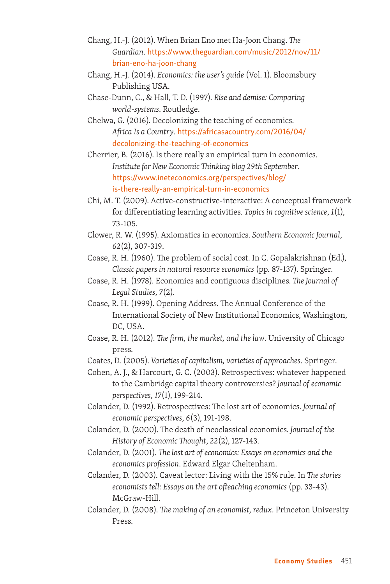- Chang, H.-J. (2012). When Brian Eno met Ha-Joon Chang. *The Guardian*. [https://www.theguardian.com/music/2012/nov/11/](https://www.theguardian.com/music/2012/nov/11/brian-eno-ha-joon-chang) [brian-eno-ha-joon-chang](https://www.theguardian.com/music/2012/nov/11/brian-eno-ha-joon-chang)
- Chang, H.-J. (2014). *Economics: the user's guide* (Vol. 1). Bloomsbury Publishing USA.
- Chase-Dunn, C., & Hall, T. D. (1997). *Rise and demise: Comparing world-systems*. Routledge.
- Chelwa, G. (2016). Decolonizing the teaching of economics. *Africa Is a Country*. [https://africasacountry.com/2016/04/](https://africasacountry.com/2016/04/decolonizing-the-teaching-of-economics) [decolonizing-the-teaching-of-economics](https://africasacountry.com/2016/04/decolonizing-the-teaching-of-economics)

Cherrier, B. (2016). Is there really an empirical turn in economics. *Institute for New Economic Thinking blog 29th September*. [https://www.ineteconomics.org/perspectives/blog/](https://www.ineteconomics.org/perspectives/blog/is-there-really-an-empirical-turn-in-economics) [is-there-really-an-empirical-turn-in-economics](https://www.ineteconomics.org/perspectives/blog/is-there-really-an-empirical-turn-in-economics)

- Chi, M. T. (2009). Active‐constructive‐interactive: A conceptual framework for differentiating learning activities. *Topics in cognitive science*, *1*(1), 73-105.
- Clower, R. W. (1995). Axiomatics in economics. *Southern Economic Journal*, *62*(2), 307-319.
- Coase, R. H. (1960). The problem of social cost. In C. Gopalakrishnan (Ed.), *Classic papers in natural resource economics* (pp. 87-137). Springer.
- Coase, R. H. (1978). Economics and contiguous disciplines. *The Journal of Legal Studies*, *7*(2).
- Coase, R. H. (1999). Opening Address. The Annual Conference of the International Society of New Institutional Economics, Washington, DC, USA.
- Coase, R. H. (2012). *The firm, the market, and the law*. University of Chicago press.
- Coates, D. (2005). *Varieties of capitalism, varieties of approaches*. Springer.
- Cohen, A. J., & Harcourt, G. C. (2003). Retrospectives: whatever happened to the Cambridge capital theory controversies? *Journal of economic perspectives*, *17*(1), 199-214.
- Colander, D. (1992). Retrospectives: The lost art of economics. *Journal of economic perspectives*, *6*(3), 191-198.
- Colander, D. (2000). The death of neoclassical economics. *Journal of the History of Economic Thought*, *22*(2), 127-143.
- Colander, D. (2001). *The lost art of economics: Essays on economics and the economics profession*. Edward Elgar Cheltenham.
- Colander, D. (2003). Caveat lector: Living with the 15% rule. In *The stories economists tell: Essays on the art ofteaching economics* (pp. 33-43). McGraw-Hill.
- Colander, D. (2008). *The making of an economist, redux*. Princeton University Press.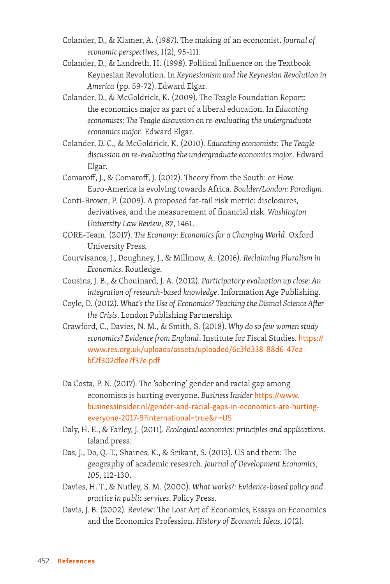- Colander, D., & Klamer, A. (1987). The making of an economist. *Journal of economic perspectives*, *1*(2), 95-111.
- Colander, D., & Landreth, H. (1998). Political Influence on the Textbook Keynesian Revolution. In *Keynesianism and the Keynesian Revolution in America* (pp. 59-72). Edward Elgar.
- Colander, D., & McGoldrick, K. (2009). The Teagle Foundation Report: the economics major as part of a liberal education. In *Educating economists: The Teagle discussion on re-evaluating the undergraduate economics major*. Edward Elgar.
- Colander, D. C., & McGoldrick, K. (2010). *Educating economists: The Teagle discussion on re-evaluating the undergraduate economics major*. Edward Elgar.
- Comaroff, J., & Comaroff, J. (2012). Theory from the South: or How Euro-America is evolving towards Africa. *Boulder/London: Paradigm*.
- Conti-Brown, P. (2009). A proposed fat-tail risk metric: disclosures, derivatives, and the measurement of financial risk. *Washington University Law Review*, *87*, 1461.
- CORE-Team. (2017). *The Economy: Economics for a Changing World*. Oxford University Press.
- Courvisanos, J., Doughney, J., & Millmow, A. (2016). *Reclaiming Pluralism in Economics*. Routledge.
- Cousins, J. B., & Chouinard, J. A. (2012). *Participatory evaluation up close: An integration of research-based knowledge*. Information Age Publishing.
- Coyle, D. (2012). *What's the Use of Economics? Teaching the Dismal Science After the Crisis*. London Publishing Partnership.
- Crawford, C., Davies, N. M., & Smith, S. (2018). *Why do so few women study economics? Evidence from England*. Institute for Fiscal Studies. [https://](https://www.res.org.uk/uploads/assets/uploaded/6c3fd338-88d6-47ea-bf2f302dfee7f37e.pdf) [www.res.org.uk/uploads/assets/uploaded/6c3fd338-88d6-47ea](https://www.res.org.uk/uploads/assets/uploaded/6c3fd338-88d6-47ea-bf2f302dfee7f37e.pdf)[bf2f302dfee7f37e.pdf](https://www.res.org.uk/uploads/assets/uploaded/6c3fd338-88d6-47ea-bf2f302dfee7f37e.pdf)
- Da Costa, P. N. (2017). The 'sobering' gender and racial gap among economists is hurting everyone. *Business Insider* [https://www.](https://www.businessinsider.nl/gender-and-racial-gaps-in-economics-are-hurting-everyone-2017-9?international=true&r=US) [businessinsider.nl/gender-and-racial-gaps-in-economics-are-hurting](https://www.businessinsider.nl/gender-and-racial-gaps-in-economics-are-hurting-everyone-2017-9?international=true&r=US)[everyone-2017-9?international=true&r=US](https://www.businessinsider.nl/gender-and-racial-gaps-in-economics-are-hurting-everyone-2017-9?international=true&r=US)
- Daly, H. E., & Farley, J. (2011). *Ecological economics: principles and applications*. Island press.
- Das, J., Do, Q.-T., Shaines, K., & Srikant, S. (2013). US and them: The geography of academic research. *Journal of Development Economics*, *105*, 112-130.
- Davies, H. T., & Nutley, S. M. (2000). *What works?: Evidence-based policy and practice in public services*. Policy Press.
- Davis, J. B. (2002). Review: The Lost Art of Economics, Essays on Economics and the Economics Profession. *History of Economic Ideas*, *10*(2).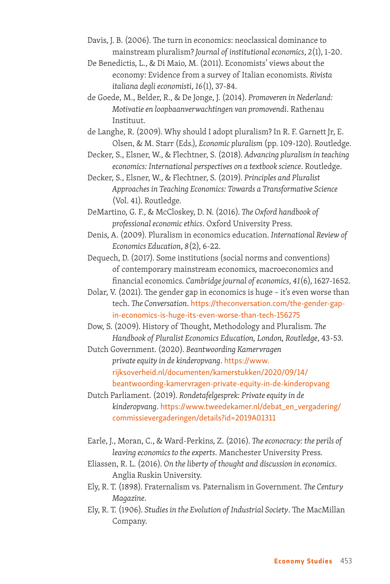- Davis, J. B. (2006). The turn in economics: neoclassical dominance to mainstream pluralism? *Journal of institutional economics*, *2*(1), 1-20.
- De Benedictis, L., & Di Maio, M. (2011). Economists' views about the economy: Evidence from a survey of Italian economists. *Rivista italiana degli economisti*, *16*(1), 37-84.
- de Goede, M., Belder, R., & De Jonge, J. (2014). *Promoveren in Nederland: Motivatie en loopbaanverwachtingen van promovendi*. Rathenau Instituut.
- de Langhe, R. (2009). Why should I adopt pluralism? In R. F. Garnett Jr, E. Olsen, & M. Starr (Eds.), *Economic pluralism* (pp. 109-120). Routledge.
- Decker, S., Elsner, W., & Flechtner, S. (2018). *Advancing pluralism in teaching economics: International perspectives on a textbook science*. Routledge.
- Decker, S., Elsner, W., & Flechtner, S. (2019). *Principles and Pluralist Approaches in Teaching Economics: Towards a Transformative Science* (Vol. 41). Routledge.
- DeMartino, G. F., & McCloskey, D. N. (2016). *The Oxford handbook of professional economic ethics*. Oxford University Press.
- Denis, A. (2009). Pluralism in economics education. *International Review of Economics Education*, *8*(2), 6-22.
- Dequech, D. (2017). Some institutions (social norms and conventions) of contemporary mainstream economics, macroeconomics and financial economics. *Cambridge journal of economics*, *41*(6), 1627-1652.
- Dolar, V. (2021). The gender gap in economics is huge it's even worse than tech. *The Conversation*. [https://theconversation.com/the-gender-gap](https://theconversation.com/the-gender-gap-in-economics-is-huge-its-even-worse-than-tech-156275)[in-economics-is-huge-its-even-worse-than-tech-156275](https://theconversation.com/the-gender-gap-in-economics-is-huge-its-even-worse-than-tech-156275)
- Dow, S. (2009). History of Thought, Methodology and Pluralism. *The Handbook of Pluralist Economics Education, London, Routledge*, 43-53.
- Dutch Government. (2020). *Beantwoording Kamervragen private equity in de kinderopvang*. [https://www.](https://www.rijksoverheid.nl/documenten/kamerstukken/2020/09/14/beantwoording-kamervragen-private-equity-in-de-kinderopvang) [rijksoverheid.nl/documenten/kamerstukken/2020/09/14/](https://www.rijksoverheid.nl/documenten/kamerstukken/2020/09/14/beantwoording-kamervragen-private-equity-in-de-kinderopvang) [beantwoording-kamervragen-private-equity-in-de-kinderopvang](https://www.rijksoverheid.nl/documenten/kamerstukken/2020/09/14/beantwoording-kamervragen-private-equity-in-de-kinderopvang)
- Dutch Parliament. (2019). *Rondetafelgesprek: Private equity in de kinderopvang*. [https://www.tweedekamer.nl/debat\\_en\\_vergadering/](https://www.tweedekamer.nl/debat_en_vergadering/commissievergaderingen/details?id=2019A01311) [commissievergaderingen/details?id=2019A01311](https://www.tweedekamer.nl/debat_en_vergadering/commissievergaderingen/details?id=2019A01311)
- Earle, J., Moran, C., & Ward-Perkins, Z. (2016). *The econocracy: the perils of leaving economics to the experts*. Manchester University Press.
- Eliassen, R. L. (2016). *On the liberty of thought and discussion in economics*. Anglia Ruskin University.
- Ely, R. T. (1898). Fraternalism vs. Paternalism in Government. *The Century Magazine*.
- Ely, R. T. (1906). *Studies in the Evolution of Industrial Society*. The MacMillan Company.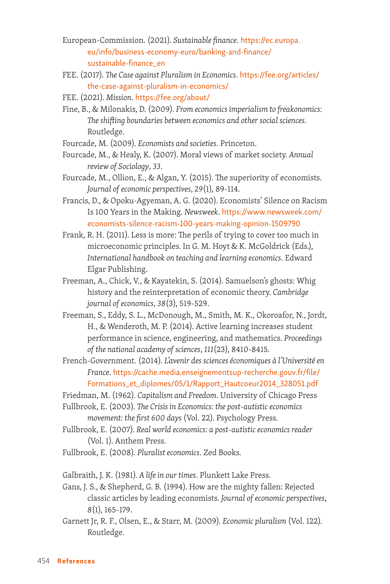- European-Commission. (2021). *Sustainable finance*. [https://ec.europa.](https://ec.europa.eu/info/business-economy-euro/banking-and-finance/sustainable-finance_en) [eu/info/business-economy-euro/banking-and-finance/](https://ec.europa.eu/info/business-economy-euro/banking-and-finance/sustainable-finance_en) [sustainable-finance\\_en](https://ec.europa.eu/info/business-economy-euro/banking-and-finance/sustainable-finance_en)
- FEE. (2017). *The Case against Pluralism in Economics*. [https://fee.org/articles/](https://fee.org/articles/the-case-against-pluralism-in-economics/) [the-case-against-pluralism-in-economics/](https://fee.org/articles/the-case-against-pluralism-in-economics/)
- FEE. (2021). *Mission*. <https://fee.org/about/>
- Fine, B., & Milonakis, D. (2009). *From economics imperialism to freakonomics: The shifting boundaries between economics and other social sciences*. Routledge.
- Fourcade, M. (2009). *Economists and societies*. Princeton.
- Fourcade, M., & Healy, K. (2007). Moral views of market society. *Annual review of Sociology*, *33*.
- Fourcade, M., Ollion, E., & Algan, Y. (2015). The superiority of economists. *Journal of economic perspectives*, *29*(1), 89-114.
- Francis, D., & Opoku-Agyeman, A. G. (2020). Economists' Silence on Racism Is 100 Years in the Making. *Newsweek*. [https://www.newsweek.com/](https://www.newsweek.com/economists-silence-racism-100-years-making-opinion-1509790) [economists-silence-racism-100-years-making-opinion-1509790](https://www.newsweek.com/economists-silence-racism-100-years-making-opinion-1509790)
- Frank, R. H. (2011). Less is more: The perils of trying to cover too much in microeconomic principles. In G. M. Hoyt & K. McGoldrick (Eds.), *International handbook on teaching and learning economics*. Edward Elgar Publishing.
- Freeman, A., Chick, V., & Kayatekin, S. (2014). Samuelson's ghosts: Whig history and the reinterpretation of economic theory. *Cambridge journal of economics*, *38*(3), 519-529.
- Freeman, S., Eddy, S. L., McDonough, M., Smith, M. K., Okoroafor, N., Jordt, H., & Wenderoth, M. P. (2014). Active learning increases student performance in science, engineering, and mathematics. *Proceedings of the national academy of sciences*, *111*(23), 8410-8415.
- French-Government. (2014). *L'avenir des sciences économiques à l'Université en France*. [https://cache.media.enseignementsup-recherche.gouv.fr/file/](https://cache.media.enseignementsup-recherche.gouv.fr/file/Formations_et_diplomes/05/1/Rapport_Hautcoeur2014_328051.pdf) [Formations\\_et\\_diplomes/05/1/Rapport\\_Hautcoeur2014\\_328051.pdf](https://cache.media.enseignementsup-recherche.gouv.fr/file/Formations_et_diplomes/05/1/Rapport_Hautcoeur2014_328051.pdf)
- Friedman, M. (1962). *Capitalism and Freedom*. University of Chicago Press
- Fullbrook, E. (2003). *The Crisis in Economics: the post-autistic economics movement: the first 600 days* (Vol. 22). Psychology Press.
- Fullbrook, E. (2007). *Real world economics: a post-autistic economics reader* (Vol. 1). Anthem Press.
- Fullbrook, E. (2008). *Pluralist economics*. Zed Books.
- Galbraith, J. K. (1981). *A life in our times*. Plunkett Lake Press.
- Gans, J. S., & Shepherd, G. B. (1994). How are the mighty fallen: Rejected classic articles by leading economists. *Journal of economic perspectives*, *8*(1), 165-179.
- Garnett Jr, R. F., Olsen, E., & Starr, M. (2009). *Economic pluralism* (Vol. 122). Routledge.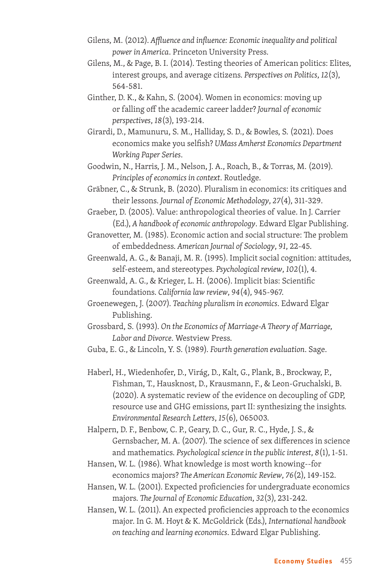- Gilens, M. (2012). *Affluence and influence: Economic inequality and political power in America*. Princeton University Press.
- Gilens, M., & Page, B. I. (2014). Testing theories of American politics: Elites, interest groups, and average citizens. *Perspectives on Politics*, *12*(3), 564-581.
- Ginther, D. K., & Kahn, S. (2004). Women in economics: moving up or falling off the academic career ladder? *Journal of economic perspectives*, *18*(3), 193-214.
- Girardi, D., Mamunuru, S. M., Halliday, S. D., & Bowles, S. (2021). Does economics make you selfish? *UMass Amherst Economics Department Working Paper Series*.
- Goodwin, N., Harris, J. M., Nelson, J. A., Roach, B., & Torras, M. (2019). *Principles of economics in context*. Routledge.
- Gräbner, C., & Strunk, B. (2020). Pluralism in economics: its critiques and their lessons. *Journal of Economic Methodology*, *27*(4), 311-329.

Graeber, D. (2005). Value: anthropological theories of value. In J. Carrier (Ed.), *A handbook of economic anthropology*. Edward Elgar Publishing.

Granovetter, M. (1985). Economic action and social structure: The problem of embeddedness. *American Journal of Sociology*, *91*, 22-45.

Greenwald, A. G., & Banaji, M. R. (1995). Implicit social cognition: attitudes, self-esteem, and stereotypes. *Psychological review*, *102*(1), 4.

- Greenwald, A. G., & Krieger, L. H. (2006). Implicit bias: Scientific foundations. *California law review*, *94*(4), 945-967.
- Groenewegen, J. (2007). *Teaching pluralism in economics*. Edward Elgar Publishing.

Grossbard, S. (1993). *On the Economics of Marriage-A Theory of Marriage, Labor and Divorce*. Westview Press.

Guba, E. G., & Lincoln, Y. S. (1989). *Fourth generation evaluation*. Sage.

Haberl, H., Wiedenhofer, D., Virág, D., Kalt, G., Plank, B., Brockway, P., Fishman, T., Hausknost, D., Krausmann, F., & Leon-Gruchalski, B. (2020). A systematic review of the evidence on decoupling of GDP, resource use and GHG emissions, part II: synthesizing the insights. *Environmental Research Letters*, *15*(6), 065003.

Halpern, D. F., Benbow, C. P., Geary, D. C., Gur, R. C., Hyde, J. S., & Gernsbacher, M. A. (2007). The science of sex differences in science and mathematics. *Psychological science in the public interest*, *8*(1), 1-51.

- Hansen, W. L. (1986). What knowledge is most worth knowing--for economics majors? *The American Economic Review*, *76*(2), 149-152.
- Hansen, W. L. (2001). Expected proficiencies for undergraduate economics majors. *The Journal of Economic Education*, *32*(3), 231-242.

Hansen, W. L. (2011). An expected proficiencies approach to the economics major. In G. M. Hoyt & K. McGoldrick (Eds.), *International handbook on teaching and learning economics*. Edward Elgar Publishing.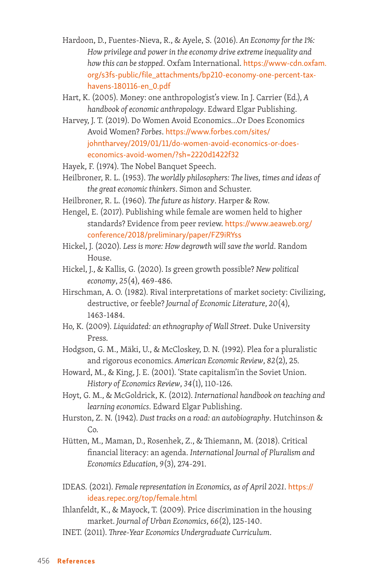- Hardoon, D., Fuentes-Nieva, R., & Ayele, S. (2016). *An Economy for the 1%: How privilege and power in the economy drive extreme inequality and how this can be stopped*. Oxfam International. [https://www-cdn.oxfam.](https://www-cdn.oxfam.org/s3fs-public/file_attachments/bp210-economy-one-percent-tax-havens-180116-en_0.pdf) [org/s3fs-public/file\\_attachments/bp210-economy-one-percent-tax](https://www-cdn.oxfam.org/s3fs-public/file_attachments/bp210-economy-one-percent-tax-havens-180116-en_0.pdf)[havens-180116-en\\_0.pdf](https://www-cdn.oxfam.org/s3fs-public/file_attachments/bp210-economy-one-percent-tax-havens-180116-en_0.pdf)
- Hart, K. (2005). Money: one anthropologist's view. In J. Carrier (Ed.), *A handbook of economic anthropology*. Edward Elgar Publishing.
- Harvey, J. T. (2019). Do Women Avoid Economics...Or Does Economics Avoid Women? *Forbes*. [https://www.forbes.com/sites/](https://www.forbes.com/sites/johntharvey/2019/01/11/do-women-avoid-economics-or-does-economics-avoid-women/?sh=2220d1422f32) [johntharvey/2019/01/11/do-women-avoid-economics-or-does](https://www.forbes.com/sites/johntharvey/2019/01/11/do-women-avoid-economics-or-does-economics-avoid-women/?sh=2220d1422f32)[economics-avoid-women/?sh=2220d1422f32](https://www.forbes.com/sites/johntharvey/2019/01/11/do-women-avoid-economics-or-does-economics-avoid-women/?sh=2220d1422f32)
- Hayek, F. (1974). The Nobel Banquet Speech.
- Heilbroner, R. L. (1953). *The worldly philosophers: The lives, times and ideas of the great economic thinkers*. Simon and Schuster.
- Heilbroner, R. L. (1960). *The future as history*. Harper & Row.
- Hengel, E. (2017). Publishing while female are women held to higher standards? Evidence from peer review. [https://www.aeaweb.org/](https://www.aeaweb.org/conference/2018/preliminary/paper/FZ9iRYss) [conference/2018/preliminary/paper/FZ9iRYss](https://www.aeaweb.org/conference/2018/preliminary/paper/FZ9iRYss)
- Hickel, J. (2020). *Less is more: How degrowth will save the world*. Random House.
- Hickel, J., & Kallis, G. (2020). Is green growth possible? *New political economy*, *25*(4), 469-486.
- Hirschman, A. O. (1982). Rival interpretations of market society: Civilizing, destructive, or feeble? *Journal of Economic Literature*, *20*(4), 1463-1484.
- Ho, K. (2009). *Liquidated: an ethnography of Wall Street*. Duke University Press.
- Hodgson, G. M., Mäki, U., & McCloskey, D. N. (1992). Plea for a pluralistic and rigorous economics. *American Economic Review*, *82*(2), 25.
- Howard, M., & King, J. E. (2001). 'State capitalism'in the Soviet Union. *History of Economics Review*, *34*(1), 110-126.
- Hoyt, G. M., & McGoldrick, K. (2012). *International handbook on teaching and learning economics*. Edward Elgar Publishing.
- Hurston, Z. N. (1942). *Dust tracks on a road: an autobiography*. Hutchinson &  $Co.$
- Hütten, M., Maman, D., Rosenhek, Z., & Thiemann, M. (2018). Critical financial literacy: an agenda. *International Journal of Pluralism and Economics Education*, *9*(3), 274-291.
- IDEAS. (2021). *Female representation in Economics, as of April 2021*. [https://](https://ideas.repec.org/top/female.html) [ideas.repec.org/top/female.html](https://ideas.repec.org/top/female.html)
- Ihlanfeldt, K., & Mayock, T. (2009). Price discrimination in the housing market. *Journal of Urban Economics*, *66*(2), 125-140.
- INET. (2011). *Three-Year Economics Undergraduate Curriculum*.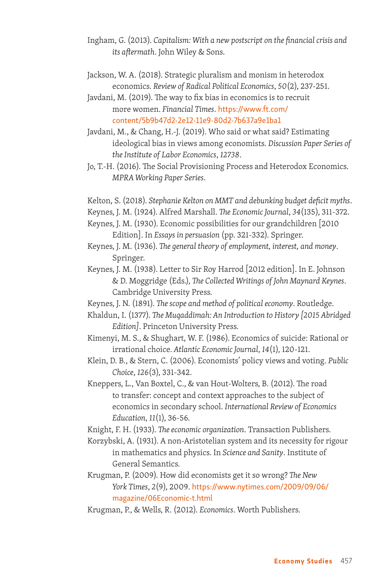- Ingham, G. (2013). *Capitalism: With a new postscript on the financial crisis and its aftermath*. John Wiley & Sons.
- Jackson, W. A. (2018). Strategic pluralism and monism in heterodox economics. *Review of Radical Political Economics*, *50*(2), 237-251.
- Javdani, M. (2019). The way to fix bias in economics is to recruit more women. *Financial Times*. [https://www.ft.com/](https://www.ft.com/content/5b9b47d2-2e12-11e9-80d2-7b637a9e1ba1) [content/5b9b47d2-2e12-11e9-80d2-7b637a9e1ba1](https://www.ft.com/content/5b9b47d2-2e12-11e9-80d2-7b637a9e1ba1)
- Javdani, M., & Chang, H.-J. (2019). Who said or what said? Estimating ideological bias in views among economists. *Discussion Paper Series of the Institute of Labor Economics*, *12738*.
- Jo, T.-H. (2016). The Social Provisioning Process and Heterodox Economics. *MPRA Working Paper Series*.
- Kelton, S. (2018). *Stephanie Kelton on MMT and debunking budget deficit myths*.
- Keynes, J. M. (1924). Alfred Marshall. *The Economic Journal*, *34*(135), 311-372.
- Keynes, J. M. (1930). Economic possibilities for our grandchildren [2010 Edition]. In *Essays in persuasion* (pp. 321-332). Springer.
- Keynes, J. M. (1936). *The general theory of employment, interest, and money*. Springer.
- Keynes, J. M. (1938). Letter to Sir Roy Harrod [2012 edition]. In E. Johnson & D. Moggridge (Eds.), *The Collected Writings of John Maynard Keynes*. Cambridge University Press.
- Keynes, J. N. (1891). *The scope and method of political economy*. Routledge.
- Khaldun, I. (1377). *The Muqaddimah: An Introduction to History [2015 Abridged Edition]*. Princeton University Press.
- Kimenyi, M. S., & Shughart, W. F. (1986). Economics of suicide: Rational or irrational choice. *Atlantic Economic Journal*, *14*(1), 120-121.
- Klein, D. B., & Stern, C. (2006). Economists' policy views and voting. *Public Choice*, *126*(3), 331-342.
- Kneppers, L., Van Boxtel, C., & van Hout-Wolters, B. (2012). The road to transfer: concept and context approaches to the subject of economics in secondary school. *International Review of Economics Education*, *11*(1), 36-56.
- Knight, F. H. (1933). *The economic organization*. Transaction Publishers.
- Korzybski, A. (1931). A non-Aristotelian system and its necessity for rigour in mathematics and physics. In *Science and Sanity*. Institute of General Semantics.
- Krugman, P. (2009). How did economists get it so wrong? *The New York Times*, *2*(9), 2009. [https://www.nytimes.com/2009/09/06/](https://www.nytimes.com/2009/09/06/magazine/06Economic-t.html) [magazine/06Economic-t.html](https://www.nytimes.com/2009/09/06/magazine/06Economic-t.html)
- Krugman, P., & Wells, R. (2012). *Economics*. Worth Publishers.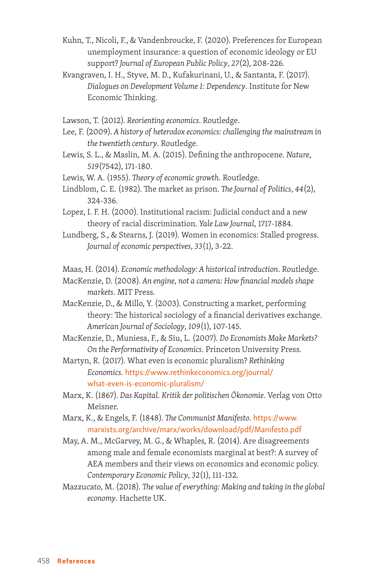Kuhn, T., Nicoli, F., & Vandenbroucke, F. (2020). Preferences for European unemployment insurance: a question of economic ideology or EU support? *Journal of European Public Policy*, *27*(2), 208-226.

Kvangraven, I. H., Styve, M. D., Kufakurinani, U., & Santanta, F. (2017). *Dialogues on Development Volume 1: Dependency*. Institute for New Economic Thinking.

Lawson, T. (2012). *Reorienting economics*. Routledge.

- Lee, F. (2009). *A history of heterodox economics: challenging the mainstream in the twentieth century*. Routledge.
- Lewis, S. L., & Maslin, M. A. (2015). Defining the anthropocene. *Nature*, *519*(7542), 171-180.

Lewis, W. A. (1955). *Theory of economic growth*. Routledge.

Lindblom, C. E. (1982). The market as prison. *The Journal of Politics*, *44*(2), 324-336.

Lopez, I. F. H. (2000). Institutional racism: Judicial conduct and a new theory of racial discrimination. *Yale Law Journal*, 1717-1884.

Lundberg, S., & Stearns, J. (2019). Women in economics: Stalled progress. *Journal of economic perspectives*, *33*(1), 3-22.

Maas, H. (2014). *Economic methodology: A historical introduction*. Routledge.

- MacKenzie, D. (2008). *An engine, not a camera: How financial models shape markets*. MIT Press.
- MacKenzie, D., & Millo, Y. (2003). Constructing a market, performing theory: The historical sociology of a financial derivatives exchange. *American Journal of Sociology*, *109*(1), 107-145.
- MacKenzie, D., Muniesa, F., & Siu, L. (2007). *Do Economists Make Markets? On the Performativity of Economics*. Princeton University Press.

Martyn, R. (2017). What even is economic pluralism? *Rethinking Economics*. [https://www.rethinkeconomics.org/journal/](https://www.rethinkeconomics.org/journal/what-even-is-economic-pluralism/) [what-even-is-economic-pluralism/](https://www.rethinkeconomics.org/journal/what-even-is-economic-pluralism/)

Marx, K. (1867). *Das Kapital. Kritik der politischen Ökonomie*. Verlag von Otto Meisner.

Marx, K., & Engels, F. (1848). *The Communist Manifesto*. [https://www.](https://www.marxists.org/archive/marx/works/download/pdf/Manifesto.pdf) [marxists.org/archive/marx/works/download/pdf/Manifesto.pdf](https://www.marxists.org/archive/marx/works/download/pdf/Manifesto.pdf)

May, A. M., McGarvey, M. G., & Whaples, R. (2014). Are disagreements among male and female economists marginal at best?: A survey of AEA members and their views on economics and economic policy. *Contemporary Economic Policy*, *32*(1), 111-132.

Mazzucato, M. (2018). *The value of everything: Making and taking in the global economy*. Hachette UK.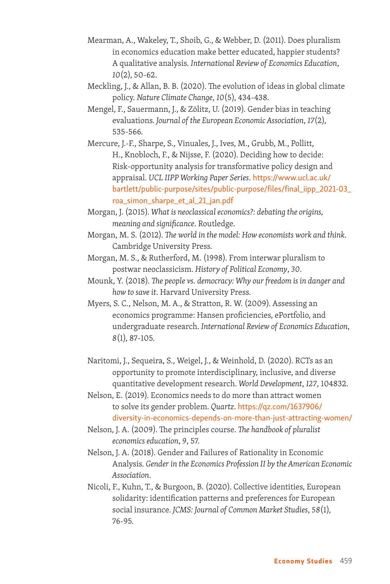- Mearman, A., Wakeley, T., Shoib, G., & Webber, D. (2011). Does pluralism in economics education make better educated, happier students? A qualitative analysis. *International Review of Economics Education*, *10*(2), 50-62.
- Meckling, J., & Allan, B. B. (2020). The evolution of ideas in global climate policy. *Nature Climate Change*, *10*(5), 434-438.
- Mengel, F., Sauermann, J., & Zölitz, U. (2019). Gender bias in teaching evaluations. *Journal of the European Economic Association*, *17*(2), 535-566.
- Mercure, J.-F., Sharpe, S., Vinuales, J., Ives, M., Grubb, M., Pollitt, H., Knobloch, F., & Nijsse, F. (2020). Deciding how to decide: Risk-opportunity analysis for transformative policy design and appraisal. *UCL IIPP Working Paper Series*. [https://www.ucl.ac.uk/](https://www.ucl.ac.uk/bartlett/public-purpose/sites/public-purpose/files/final_iipp_2021-03_roa_simon_sharpe_et_al_21_jan.pdf) [bartlett/public-purpose/sites/public-purpose/files/final\\_iipp\\_2021-03\\_](https://www.ucl.ac.uk/bartlett/public-purpose/sites/public-purpose/files/final_iipp_2021-03_roa_simon_sharpe_et_al_21_jan.pdf) [roa\\_simon\\_sharpe\\_et\\_al\\_21\\_jan.pdf](https://www.ucl.ac.uk/bartlett/public-purpose/sites/public-purpose/files/final_iipp_2021-03_roa_simon_sharpe_et_al_21_jan.pdf)
- Morgan, J. (2015). *What is neoclassical economics?: debating the origins, meaning and significance*. Routledge.
- Morgan, M. S. (2012). *The world in the model: How economists work and think*. Cambridge University Press.
- Morgan, M. S., & Rutherford, M. (1998). From interwar pluralism to postwar neoclassicism. *History of Political Economy*, *30*.
- Mounk, Y. (2018). *The people vs. democracy: Why our freedom is in danger and how to save it*. Harvard University Press.
- Myers, S. C., Nelson, M. A., & Stratton, R. W. (2009). Assessing an economics programme: Hansen proficiencies, ePortfolio, and undergraduate research. *International Review of Economics Education*, *8*(1), 87-105.
- Naritomi, J., Sequeira, S., Weigel, J., & Weinhold, D. (2020). RCTs as an opportunity to promote interdisciplinary, inclusive, and diverse quantitative development research. *World Development*, *127*, 104832.
- Nelson, E. (2019). Economics needs to do more than attract women to solve its gender problem. *Quartz*. [https://qz.com/1637906/](https://qz.com/1637906/diversity-in-economics-depends-on-more-than-just-attracting-women/) [diversity-in-economics-depends-on-more-than-just-attracting-women/](https://qz.com/1637906/diversity-in-economics-depends-on-more-than-just-attracting-women/)
- Nelson, J. A. (2009). The principles course. *The handbook of pluralist economics education*, *9*, 57.
- Nelson, J. A. (2018). Gender and Failures of Rationality in Economic Analysis. *Gender in the Economics Profession II by the American Economic Association*.
- Nicoli, F., Kuhn, T., & Burgoon, B. (2020). Collective identities, European solidarity: identification patterns and preferences for European social insurance. *JCMS: Journal of Common Market Studies*, *58*(1), 76-95.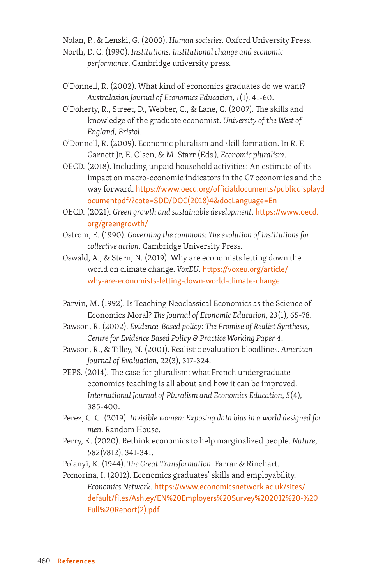Nolan, P., & Lenski, G. (2003). *Human societies*. Oxford University Press.

North, D. C. (1990). *Institutions, institutional change and economic performance*. Cambridge university press.

- O'Donnell, R. (2002). What kind of economics graduates do we want? *Australasian Journal of Economics Education*, *1*(1), 41-60.
- O'Doherty, R., Street, D., Webber, C., & Lane, C. (2007). The skills and knowledge of the graduate economist. *University of the West of England, Bristol*.
- O'Donnell, R. (2009). Economic pluralism and skill formation. In R. F. Garnett Jr, E. Olsen, & M. Starr (Eds.), *Economic pluralism*.
- OECD. (2018). Including unpaid household activities: An estimate of its impact on macro-economic indicators in the G7 economies and the way forward. [https://www.oecd.org/officialdocuments/publicdisplayd](https://www.oecd.org/officialdocuments/publicdisplaydocumentpdf/?cote=SDD/DOC(2018)4&docLanguage=En) [ocumentpdf/?cote=SDD/DOC\(2018\)4&docLanguage=En](https://www.oecd.org/officialdocuments/publicdisplaydocumentpdf/?cote=SDD/DOC(2018)4&docLanguage=En)
- OECD. (2021). *Green growth and sustainable development*. [https://www.oecd.](https://www.oecd.org/greengrowth/) [org/greengrowth/](https://www.oecd.org/greengrowth/)
- Ostrom, E. (1990). *Governing the commons: The evolution of institutions for collective action*. Cambridge University Press.
- Oswald, A., & Stern, N. (2019). Why are economists letting down the world on climate change. *VoxEU*. [https://voxeu.org/article/](https://voxeu.org/article/why-are-economists-letting-down-world-climate-change) [why-are-economists-letting-down-world-climate-change](https://voxeu.org/article/why-are-economists-letting-down-world-climate-change)
- Parvin, M. (1992). Is Teaching Neoclassical Economics as the Science of Economics Moral? *The Journal of Economic Education*, *23*(1), 65-78.
- Pawson, R. (2002). *Evidence-Based policy: The Promise of Realist Synthesis, Centre for Evidence Based Policy & Practice Working Paper 4*.
- Pawson, R., & Tilley, N. (2001). Realistic evaluation bloodlines. *American Journal of Evaluation*, *22*(3), 317-324.
- PEPS. (2014). The case for pluralism: what French undergraduate economics teaching is all about and how it can be improved. *International Journal of Pluralism and Economics Education*, *5*(4), 385-400.
- Perez, C. C. (2019). *Invisible women: Exposing data bias in a world designed for men*. Random House.
- Perry, K. (2020). Rethink economics to help marginalized people. *Nature*, *582*(7812), 341-341.
- Polanyi, K. (1944). *The Great Transformation*. Farrar & Rinehart.

Pomorina, I. (2012). Economics graduates' skills and employability. *Economics Network*. [https://www.economicsnetwork.ac.uk/sites/](https://www.economicsnetwork.ac.uk/sites/default/files/Ashley/EN%20Employers%20Survey%202012%20-%20Full%20Report(2).pdf) [default/files/Ashley/EN%20Employers%20Survey%202012%20-%20](https://www.economicsnetwork.ac.uk/sites/default/files/Ashley/EN%20Employers%20Survey%202012%20-%20Full%20Report(2).pdf) [Full%20Report\(2\).pdf](https://www.economicsnetwork.ac.uk/sites/default/files/Ashley/EN%20Employers%20Survey%202012%20-%20Full%20Report(2).pdf)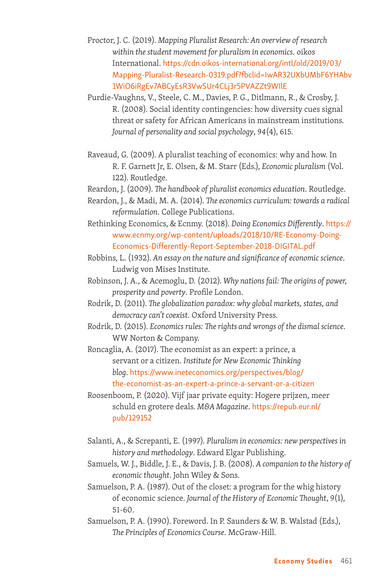- Proctor, J. C. (2019). *Mapping Pluralist Research: An overview of research within the student movement for pluralism in economics*. oikos International. [https://cdn.oikos-international.org/intl/old/2019/03/](https://cdn.oikos-international.org/intl/old/2019/03/Mapping-Pluralist-Research-0319.pdf?fbclid=IwAR32UXbUMbF6YHAbv1WiO6iRgEv7ABCyEsR3VwSUr4CLj3r5PVAZZt9WIlE) [Mapping-Pluralist-Research-0319.pdf?fbclid=IwAR32UXbUMbF6YHAbv](https://cdn.oikos-international.org/intl/old/2019/03/Mapping-Pluralist-Research-0319.pdf?fbclid=IwAR32UXbUMbF6YHAbv1WiO6iRgEv7ABCyEsR3VwSUr4CLj3r5PVAZZt9WIlE) [1WiO6iRgEv7ABCyEsR3VwSUr4CLj3r5PVAZZt9WIlE](https://cdn.oikos-international.org/intl/old/2019/03/Mapping-Pluralist-Research-0319.pdf?fbclid=IwAR32UXbUMbF6YHAbv1WiO6iRgEv7ABCyEsR3VwSUr4CLj3r5PVAZZt9WIlE)
- Purdie-Vaughns, V., Steele, C. M., Davies, P. G., Ditlmann, R., & Crosby, J. R. (2008). Social identity contingencies: how diversity cues signal threat or safety for African Americans in mainstream institutions. *Journal of personality and social psychology*, *94*(4), 615.
- Raveaud, G. (2009). A pluralist teaching of economics: why and how. In R. F. Garnett Jr, E. Olsen, & M. Starr (Eds.), *Economic pluralism* (Vol. 122). Routledge.

Reardon, J. (2009). *The handbook of pluralist economics education*. Routledge.

- Reardon, J., & Madi, M. A. (2014). *The economics curriculum: towards a radical reformulation*. College Publications.
- Rethinking Economics, & Ecnmy. (2018). *Doing Economics Differently*. [https://](https://www.ecnmy.org/wp-content/uploads/2018/10/RE-Economy-Doing-Economics-Differently-Report-September-2018-DIGITAL.pdf) [www.ecnmy.org/wp-content/uploads/2018/10/RE-Economy-Doing-](https://www.ecnmy.org/wp-content/uploads/2018/10/RE-Economy-Doing-Economics-Differently-Report-September-2018-DIGITAL.pdf)[Economics-Differently-Report-September-2018-DIGITAL.pdf](https://www.ecnmy.org/wp-content/uploads/2018/10/RE-Economy-Doing-Economics-Differently-Report-September-2018-DIGITAL.pdf)

Robbins, L. (1932). *An essay on the nature and significance of economic science*. Ludwig von Mises Institute.

- Robinson, J. A., & Acemoglu, D. (2012). *Why nations fail: The origins of power, prosperity and poverty*. Profile London.
- Rodrik, D. (2011). *The globalization paradox: why global markets, states, and democracy can't coexist*. Oxford University Press.
- Rodrik, D. (2015). *Economics rules: The rights and wrongs of the dismal science*. WW Norton & Company.

Roncaglia, A. (2017). The economist as an expert: a prince, a servant or a citizen. *Institute for New Economic Thinking blog*. [https://www.ineteconomics.org/perspectives/blog/](https://www.ineteconomics.org/perspectives/blog/the-economist-as-an-expert-a-prince-a-servant-or-a-citizen) [the-economist-as-an-expert-a-prince-a-servant-or-a-citizen](https://www.ineteconomics.org/perspectives/blog/the-economist-as-an-expert-a-prince-a-servant-or-a-citizen)

- Roosenboom, P. (2020). Vijf jaar private equity: Hogere prijzen, meer schuld en grotere deals. *M&A Magazine*. [https://repub.eur.nl/](https://repub.eur.nl/pub/129152) [pub/129152](https://repub.eur.nl/pub/129152)
- Salanti, A., & Screpanti, E. (1997). *Pluralism in economics: new perspectives in history and methodology*. Edward Elgar Publishing.
- Samuels, W. J., Biddle, J. E., & Davis, J. B. (2008). *A companion to the history of economic thought*. John Wiley & Sons.
- Samuelson, P. A. (1987). Out of the closet: a program for the whig history of economic science. *Journal of the History of Economic Thought*, *9*(1), 51-60.

Samuelson, P. A. (1990). Foreword. In P. Saunders & W. B. Walstad (Eds.), *The Principles of Economics Course*. McGraw-Hill.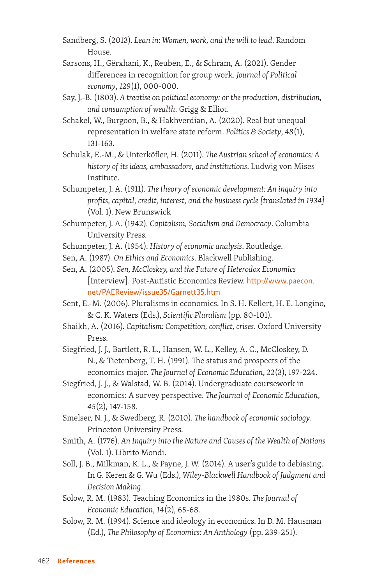- Sandberg, S. (2013). *Lean in: Women, work, and the will to lead*. Random House.
- Sarsons, H., Gërxhani, K., Reuben, E., & Schram, A. (2021). Gender differences in recognition for group work. *Journal of Political economy*, *129*(1), 000-000.
- Say, J.-B. (1803). *A treatise on political economy: or the production, distribution, and consumption of wealth*. Grigg & Elliot.
- Schakel, W., Burgoon, B., & Hakhverdian, A. (2020). Real but unequal representation in welfare state reform. *Politics & Society*, *48*(1), 131-163.
- Schulak, E.-M., & Unterköfler, H. (2011). *The Austrian school of economics: A history of its ideas, ambassadors, and institutions*. Ludwig von Mises Institute.
- Schumpeter, J. A. (1911). *The theory of economic development: An inquiry into profits, capital, credit, interest, and the business cycle [translated in 1934]* (Vol. 1). New Brunswick
- Schumpeter, J. A. (1942). *Capitalism, Socialism and Democracy*. Columbia University Press.
- Schumpeter, J. A. (1954). *History of economic analysis*. Routledge.
- Sen, A. (1987). *On Ethics and Economics*. Blackwell Publishing.
- Sen, A. (2005). *Sen, McCloskey, and the Future of Heterodox Economics* [Interview]. Post-Autistic Economics Review. [http://www.paecon.](http://www.paecon.net/PAEReview/issue35/Garnett35.htm) [net/PAEReview/issue35/Garnett35.htm](http://www.paecon.net/PAEReview/issue35/Garnett35.htm)
- Sent, E.-M. (2006). Pluralisms in economics. In S. H. Kellert, H. E. Longino, & C. K. Waters (Eds.), *Scientific Pluralism* (pp. 80-101).
- Shaikh, A. (2016). *Capitalism: Competition, conflict, crises*. Oxford University Press.
- Siegfried, J. J., Bartlett, R. L., Hansen, W. L., Kelley, A. C., McCloskey, D. N., & Tietenberg, T. H. (1991). The status and prospects of the economics major. *The Journal of Economic Education*, *22*(3), 197-224.
- Siegfried, J. J., & Walstad, W. B. (2014). Undergraduate coursework in economics: A survey perspective. *The Journal of Economic Education*, *45*(2), 147-158.
- Smelser, N. J., & Swedberg, R. (2010). *The handbook of economic sociology*. Princeton University Press.
- Smith, A. (1776). *An Inquiry into the Nature and Causes of the Wealth of Nations* (Vol. 1). Librito Mondi.
- Soll, J. B., Milkman, K. L., & Payne, J. W. (2014). A user's guide to debiasing. In G. Keren & G. Wu (Eds.), *Wiley-Blackwell Handbook of Judgment and Decision Making*.
- Solow, R. M. (1983). Teaching Economics in the 1980s. *The Journal of Economic Education*, *14*(2), 65-68.
- Solow, R. M. (1994). Science and ideology in economics. In D. M. Hausman (Ed.), *The Philosophy of Economics: An Anthology* (pp. 239-251).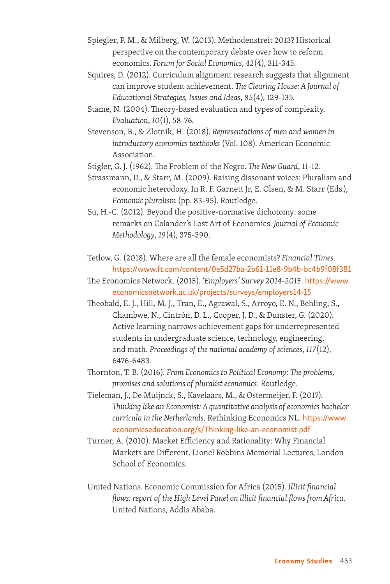- Spiegler, P. M., & Milberg, W. (2013). Methodenstreit 2013? Historical perspective on the contemporary debate over how to reform economics. *Forum for Social Economics*, *42*(4), 311-345.
- Squires, D. (2012). Curriculum alignment research suggests that alignment can improve student achievement. *The Clearing House: A Journal of Educational Strategies, Issues and Ideas*, *85*(4), 129-135.
- Stame, N. (2004). Theory-based evaluation and types of complexity. *Evaluation*, *10*(1), 58-76.
- Stevenson, B., & Zlotnik, H. (2018). *Representations of men and women in introductory economics textbooks* (Vol. 108). American Economic Association.
- Stigler, G. J. (1962). The Problem of the Negro. *The New Guard*, 11-12.
- Strassmann, D., & Starr, M. (2009). Raising dissonant voices: Pluralism and economic heterodoxy. In R. F. Garnett Jr, E. Olsen, & M. Starr (Eds.), *Economic pluralism* (pp. 83-95). Routledge.
- Su, H.-C. (2012). Beyond the positive-normative dichotomy: some remarks on Colander's Lost Art of Economics. *Journal of Economic Methodology*, *19*(4), 375-390.
- Tetlow, G. (2018). Where are all the female economists? *Financial Times*. <https://www.ft.com/content/0e5d27ba-2b61-11e8-9b4b-bc4b9f08f381>
- The Economics Network. (2015). *'Employers' Survey 2014-2015*. [https://www.](https://www.economicsnetwork.ac.uk/projects/surveys/employers14-15) [economicsnetwork.ac.uk/projects/surveys/employers14-15](https://www.economicsnetwork.ac.uk/projects/surveys/employers14-15)
- Theobald, E. J., Hill, M. J., Tran, E., Agrawal, S., Arroyo, E. N., Behling, S., Chambwe, N., Cintrón, D. L., Cooper, J. D., & Dunster, G. (2020). Active learning narrows achievement gaps for underrepresented students in undergraduate science, technology, engineering, and math. *Proceedings of the national academy of sciences*, *117*(12), 6476-6483.
- Thornton, T. B. (2016). *From Economics to Political Economy: The problems, promises and solutions of pluralist economics*. Routledge.
- Tieleman, J., De Muijnck, S., Kavelaars, M., & Ostermeijer, F. (2017). *Thinking like an Economist: A quantitative analysis of economics bachelor curricula in the Netherlands*. Rethinking Economics NL. [https://www.](https://www.economicseducation.org/s/Thinking-like-an-economist.pdf) [economicseducation.org/s/Thinking-like-an-economist.pdf](https://www.economicseducation.org/s/Thinking-like-an-economist.pdf)
- Turner, A. (2010). Market Efficiency and Rationality: Why Financial Markets are Different. Lionel Robbins Memorial Lectures, London School of Economics.
- United Nations. Economic Commission for Africa (2015). *Illicit financial flows: report of the High Level Panel on illicit financial flows from Africa*. United Nations, Addis Ababa.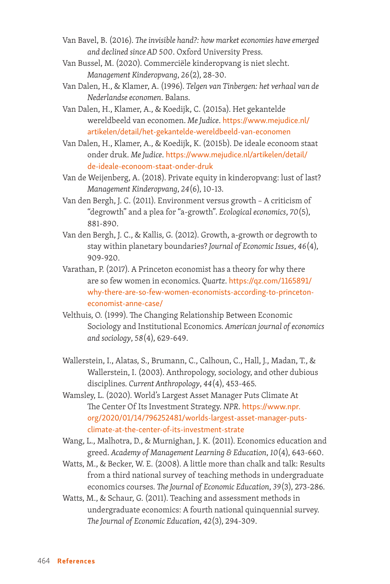- Van Bavel, B. (2016). *The invisible hand?: how market economies have emerged and declined since AD 500*. Oxford University Press.
- Van Bussel, M. (2020). Commerciële kinderopvang is niet slecht. *Management Kinderopvang*, *26*(2), 28-30.
- Van Dalen, H., & Klamer, A. (1996). *Telgen van Tinbergen: het verhaal van de Nederlandse economen*. Balans.
- Van Dalen, H., Klamer, A., & Koedijk, C. (2015a). Het gekantelde wereldbeeld van economen. *Me Judice*. [https://www.mejudice.nl/](https://www.mejudice.nl/artikelen/detail/het-gekantelde-wereldbeeld-van-economen) [artikelen/detail/het-gekantelde-wereldbeeld-van-economen](https://www.mejudice.nl/artikelen/detail/het-gekantelde-wereldbeeld-van-economen)
- Van Dalen, H., Klamer, A., & Koedijk, K. (2015b). De ideale econoom staat onder druk. *Me Judice*. [https://www.mejudice.nl/artikelen/detail/](https://www.mejudice.nl/artikelen/detail/de-ideale-econoom-staat-onder-druk) [de-ideale-econoom-staat-onder-druk](https://www.mejudice.nl/artikelen/detail/de-ideale-econoom-staat-onder-druk)
- Van de Weijenberg, A. (2018). Private equity in kinderopvang: lust of last? *Management Kinderopvang*, *24*(6), 10-13.
- Van den Bergh, J. C. (2011). Environment versus growth A criticism of "degrowth" and a plea for "a-growth". *Ecological economics*, *70*(5), 881-890.
- Van den Bergh, J. C., & Kallis, G. (2012). Growth, a-growth or degrowth to stay within planetary boundaries? *Journal of Economic Issues*, *46*(4), 909-920.
- Varathan, P. (2017). A Princeton economist has a theory for why there are so few women in economics. *Quartz*. [https://qz.com/1165891/](https://qz.com/1165891/why-there-are-so-few-women-economists-according-to-princeton-economist-anne-case/) [why-there-are-so-few-women-economists-according-to-princeton](https://qz.com/1165891/why-there-are-so-few-women-economists-according-to-princeton-economist-anne-case/)[economist-anne-case/](https://qz.com/1165891/why-there-are-so-few-women-economists-according-to-princeton-economist-anne-case/)
- Velthuis, O. (1999). The Changing Relationship Between Economic Sociology and Institutional Economics. *American journal of economics and sociology*, *58*(4), 629-649.
- Wallerstein, I., Alatas, S., Brumann, C., Calhoun, C., Hall, J., Madan, T., & Wallerstein, I. (2003). Anthropology, sociology, and other dubious disciplines. *Current Anthropology*, *44*(4), 453-465.
- Wamsley, L. (2020). World's Largest Asset Manager Puts Climate At The Center Of Its Investment Strategy. *NPR*. [https://www.npr.](https://www.npr.org/2020/01/14/796252481/worlds-largest-asset-manager-puts-climate-at-the-center-of-its-investment-strate) [org/2020/01/14/796252481/worlds-largest-asset-manager-puts](https://www.npr.org/2020/01/14/796252481/worlds-largest-asset-manager-puts-climate-at-the-center-of-its-investment-strate)[climate-at-the-center-of-its-investment-strate](https://www.npr.org/2020/01/14/796252481/worlds-largest-asset-manager-puts-climate-at-the-center-of-its-investment-strate)
- Wang, L., Malhotra, D., & Murnighan, J. K. (2011). Economics education and greed. *Academy of Management Learning & Education*, *10*(4), 643-660.
- Watts, M., & Becker, W. E. (2008). A little more than chalk and talk: Results from a third national survey of teaching methods in undergraduate economics courses. *The Journal of Economic Education*, *39*(3), 273-286.
- Watts, M., & Schaur, G. (2011). Teaching and assessment methods in undergraduate economics: A fourth national quinquennial survey. *The Journal of Economic Education*, *42*(3), 294-309.